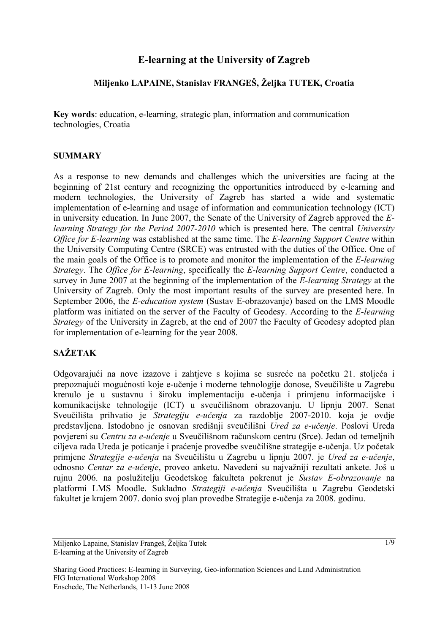# **E-learning at the University of Zagreb**

## **Miljenko LAPAINE, Stanislav FRANGEŠ, Željka TUTEK, Croatia**

**Key words**: education, e-learning, strategic plan, information and communication technologies, Croatia

#### **SUMMARY**

As a response to new demands and challenges which the universities are facing at the beginning of 21st century and recognizing the opportunities introduced by e-learning and modern technologies, the University of Zagreb has started a wide and systematic implementation of e-learning and usage of information and communication technology (ICT) in university education. In June 2007, the Senate of the University of Zagreb approved the *Elearning Strategy for the Period 2007-2010* which is presented here. The central *University Office for E-learning* was established at the same time. The *E-learning Support Centre* within the University Computing Centre (SRCE) was entrusted with the duties of the Office. One of the main goals of the Office is to promote and monitor the implementation of the *E-learning Strategy*. The *Office for E-learning*, specifically the *E-learning Support Centre*, conducted a survey in June 2007 at the beginning of the implementation of the *E-learning Strategy* at the University of Zagreb. Only the most important results of the survey are presented here. In September 2006, the *E-education system* (Sustav E-obrazovanje) based on the LMS Moodle platform was initiated on the server of the Faculty of Geodesy. According to the *E-learning Strategy* of the University in Zagreb, at the end of 2007 the Faculty of Geodesy adopted plan for implementation of e-learning for the year 2008.

# **SAŽETAK**

Odgovarajući na nove izazove i zahtjeve s kojima se susreće na početku 21. stoljeća i prepoznajući mogućnosti koje e-učenje i moderne tehnologije donose, Sveučilište u Zagrebu krenulo je u sustavnu i široku implementaciju e-učenja i primjenu informacijske i komunikacijske tehnologije (ICT) u sveučilišnom obrazovanju. U lipnju 2007. Senat Sveučilišta prihvatio je *Strategiju e-učenja* za razdoblje 2007-2010. koja je ovdje predstavljena. Istodobno je osnovan središnji sveučilišni *Ured za e-učenje*. Poslovi Ureda povjereni su *Centru za e-učenje* u Sveučilišnom računskom centru (Srce). Jedan od temeljnih ciljeva rada Ureda je poticanje i praćenje provedbe sveučilišne strategije e-učenja. Uz početak primjene *Strategije e-učenja* na Sveučilištu u Zagrebu u lipnju 2007. je *Ured za e-učenje*, odnosno *Centar za e-učenje*, proveo anketu. Navedeni su najvažniji rezultati ankete. Još u rujnu 2006. na poslužitelju Geodetskog fakulteta pokrenut je *Sustav E-obrazovanje* na platformi LMS Moodle. Sukladno *Strategiji e-učenja* Sveučilišta u Zagrebu Geodetski fakultet je krajem 2007. donio svoj plan provedbe Strategije e-učenja za 2008. godinu.

Miljenko Lapaine, Stanislav Frangeš, Željka Tutek E-learning at the University of Zagreb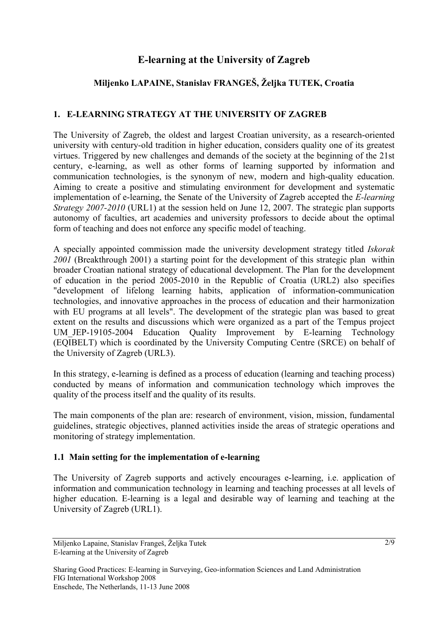# **E-learning at the University of Zagreb**

# **Miljenko LAPAINE, Stanislav FRANGEŠ, Željka TUTEK, Croatia**

## **1. E-LEARNING STRATEGY AT THE UNIVERSITY OF ZAGREB**

The University of Zagreb, the oldest and largest Croatian university, as a research-oriented university with century-old tradition in higher education, considers quality one of its greatest virtues. Triggered by new challenges and demands of the society at the beginning of the 21st century, e-learning, as well as other forms of learning supported by information and communication technologies, is the synonym of new, modern and high-quality education. Aiming to create a positive and stimulating environment for development and systematic implementation of e-learning, the Senate of the University of Zagreb accepted the *E-learning Strategy 2007-2010* (URL1) at the session held on June 12, 2007. The strategic plan supports autonomy of faculties, art academies and university professors to decide about the optimal form of teaching and does not enforce any specific model of teaching.

A specially appointed commission made the university development strategy titled *Iskorak 2001* (Breakthrough 2001) a starting point for the development of this strategic plan within broader Croatian national strategy of educational development. The Plan for the development of education in the period 2005-2010 in the Republic of Croatia (URL2) also specifies "development of lifelong learning habits, application of information-communication technologies, and innovative approaches in the process of education and their harmonization with EU programs at all levels". The development of the strategic plan was based to great extent on the results and discussions which were organized as a part of the Tempus project UM JEP-19105-2004 Education Quality Improvement by E-learning Technology (EQIBELT) which is coordinated by the University Computing Centre (SRCE) on behalf of the University of Zagreb (URL3).

In this strategy, e-learning is defined as a process of education (learning and teaching process) conducted by means of information and communication technology which improves the quality of the process itself and the quality of its results.

The main components of the plan are: research of environment, vision, mission, fundamental guidelines, strategic objectives, planned activities inside the areas of strategic operations and monitoring of strategy implementation.

#### **1.1 Main setting for the implementation of e-learning**

The University of Zagreb supports and actively encourages e-learning, i.e. application of information and communication technology in learning and teaching processes at all levels of higher education. E-learning is a legal and desirable way of learning and teaching at the University of Zagreb (URL1).

Miljenko Lapaine, Stanislav Frangeš, Željka Tutek E-learning at the University of Zagreb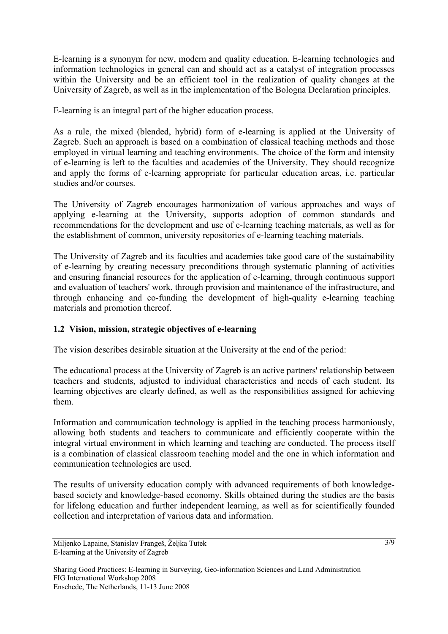E-learning is a synonym for new, modern and quality education. E-learning technologies and information technologies in general can and should act as a catalyst of integration processes within the University and be an efficient tool in the realization of quality changes at the University of Zagreb, as well as in the implementation of the Bologna Declaration principles.

E-learning is an integral part of the higher education process.

As a rule, the mixed (blended, hybrid) form of e-learning is applied at the University of Zagreb. Such an approach is based on a combination of classical teaching methods and those employed in virtual learning and teaching environments. The choice of the form and intensity of e-learning is left to the faculties and academies of the University. They should recognize and apply the forms of e-learning appropriate for particular education areas, i.e. particular studies and/or courses.

The University of Zagreb encourages harmonization of various approaches and ways of applying e-learning at the University, supports adoption of common standards and recommendations for the development and use of e-learning teaching materials, as well as for the establishment of common, university repositories of e-learning teaching materials.

The University of Zagreb and its faculties and academies take good care of the sustainability of e-learning by creating necessary preconditions through systematic planning of activities and ensuring financial resources for the application of e-learning, through continuous support and evaluation of teachers' work, through provision and maintenance of the infrastructure, and through enhancing and co-funding the development of high-quality e-learning teaching materials and promotion thereof.

#### **1.2 Vision, mission, strategic objectives of e-learning**

The vision describes desirable situation at the University at the end of the period:

The educational process at the University of Zagreb is an active partners' relationship between teachers and students, adjusted to individual characteristics and needs of each student. Its learning objectives are clearly defined, as well as the responsibilities assigned for achieving them.

Information and communication technology is applied in the teaching process harmoniously, allowing both students and teachers to communicate and efficiently cooperate within the integral virtual environment in which learning and teaching are conducted. The process itself is a combination of classical classroom teaching model and the one in which information and communication technologies are used.

The results of university education comply with advanced requirements of both knowledgebased society and knowledge-based economy. Skills obtained during the studies are the basis for lifelong education and further independent learning, as well as for scientifically founded collection and interpretation of various data and information.

Miljenko Lapaine, Stanislav Frangeš, Željka Tutek E-learning at the University of Zagreb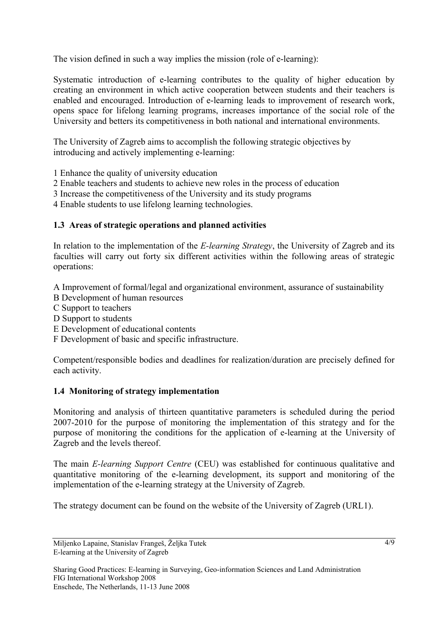The vision defined in such a way implies the mission (role of e-learning):

Systematic introduction of e-learning contributes to the quality of higher education by creating an environment in which active cooperation between students and their teachers is enabled and encouraged. Introduction of e-learning leads to improvement of research work, opens space for lifelong learning programs, increases importance of the social role of the University and betters its competitiveness in both national and international environments.

The University of Zagreb aims to accomplish the following strategic objectives by introducing and actively implementing e-learning:

- 1 Enhance the quality of university education
- 2 Enable teachers and students to achieve new roles in the process of education
- 3 Increase the competitiveness of the University and its study programs
- 4 Enable students to use lifelong learning technologies.

#### **1.3 Areas of strategic operations and planned activities**

In relation to the implementation of the *E-learning Strategy*, the University of Zagreb and its faculties will carry out forty six different activities within the following areas of strategic operations:

A Improvement of formal/legal and organizational environment, assurance of sustainability

- B Development of human resources
- C Support to teachers
- D Support to students
- E Development of educational contents
- F Development of basic and specific infrastructure.

Competent/responsible bodies and deadlines for realization/duration are precisely defined for each activity.

#### **1.4 Monitoring of strategy implementation**

Monitoring and analysis of thirteen quantitative parameters is scheduled during the period 2007-2010 for the purpose of monitoring the implementation of this strategy and for the purpose of monitoring the conditions for the application of e-learning at the University of Zagreb and the levels thereof.

The main *E-learning Support Centre* (CEU) was established for continuous qualitative and quantitative monitoring of the e-learning development, its support and monitoring of the implementation of the e-learning strategy at the University of Zagreb.

The strategy document can be found on the website of the University of Zagreb (URL1).

Miljenko Lapaine, Stanislav Frangeš, Željka Tutek E-learning at the University of Zagreb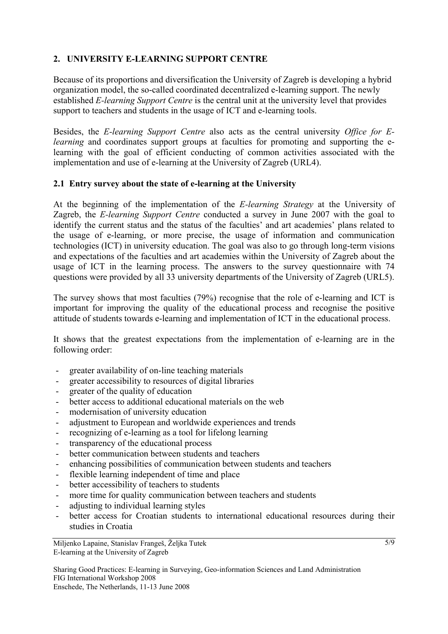## **2. UNIVERSITY E-LEARNING SUPPORT CENTRE**

Because of its proportions and diversification the University of Zagreb is developing a hybrid organization model, the so-called coordinated decentralized e-learning support. The newly established *E-learning Support Centre* is the central unit at the university level that provides support to teachers and students in the usage of ICT and e-learning tools.

Besides, the *E-learning Support Centre* also acts as the central university *Office for Elearning* and coordinates support groups at faculties for promoting and supporting the elearning with the goal of efficient conducting of common activities associated with the implementation and use of e-learning at the University of Zagreb (URL4).

### **2.1 Entry survey about the state of e-learning at the University**

At the beginning of the implementation of the *E-learning Strategy* at the University of Zagreb, the *E-learning Support Centre* conducted a survey in June 2007 with the goal to identify the current status and the status of the faculties' and art academies' plans related to the usage of e-learning, or more precise, the usage of information and communication technologies (ICT) in university education. The goal was also to go through long-term visions and expectations of the faculties and art academies within the University of Zagreb about the usage of ICT in the learning process. The answers to the survey questionnaire with 74 questions were provided by all 33 university departments of the University of Zagreb (URL5).

The survey shows that most faculties (79%) recognise that the role of e-learning and ICT is important for improving the quality of the educational process and recognise the positive attitude of students towards e-learning and implementation of ICT in the educational process.

It shows that the greatest expectations from the implementation of e-learning are in the following order:

- greater availability of on-line teaching materials
- greater accessibility to resources of digital libraries
- greater of the quality of education
- better access to additional educational materials on the web
- modernisation of university education
- adjustment to European and worldwide experiences and trends
- recognizing of e-learning as a tool for lifelong learning
- transparency of the educational process
- better communication between students and teachers
- enhancing possibilities of communication between students and teachers
- flexible learning independent of time and place
- better accessibility of teachers to students
- more time for quality communication between teachers and students
- adjusting to individual learning styles
- better access for Croatian students to international educational resources during their studies in Croatia

Miljenko Lapaine, Stanislav Frangeš, Željka Tutek E-learning at the University of Zagreb

Sharing Good Practices: E-learning in Surveying, Geo-information Sciences and Land Administration FIG International Workshop 2008 Enschede, The Netherlands, 11-13 June 2008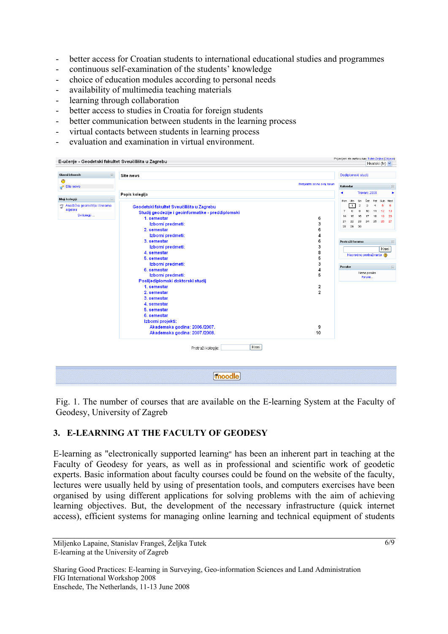- better access for Croatian students to international educational studies and programmes
- continuous self-examination of the students' knowledge
- choice of education modules according to personal needs
- availability of multimedia teaching materials
- learning through collaboration
- better access to studies in Croatia for foreign students
- better communication between students in the learning process
- virtual contacts between students in learning process
- evaluation and examination in virtual environment.

|                                           | E-učenje - Geodetski fakultet Sveučilišta u Zagrebu | Hrvatski (hr) v                                                          |
|-------------------------------------------|-----------------------------------------------------|--------------------------------------------------------------------------|
| Glavni izbornik<br>$\boxed{\blacksquare}$ | Site news                                           | Dodiplomski studij                                                       |
| ◉                                         | Pretplatite se na ovaj forum                        |                                                                          |
| Site news                                 |                                                     | Kalendar                                                                 |
|                                           | Popis kolegija                                      | Travanj 2008<br>٠                                                        |
| Moji kolegiji<br>$\Box$                   |                                                     | Pon Uto<br>Čet<br>Pet<br>Sub Ned<br>Sri                                  |
| Analitička geometrija i linearna          | Geodetski fakultet Sveučilišta u Zagrebu            | 3<br>$-1$<br>4<br>6<br>$\overline{\mathbf{2}}$<br>5                      |
| algebra                                   | Studij geodezije i geoinformatike - preddiplomski   | $\mathbf{s}$<br>10<br>$\overline{7}$<br>o<br>12 <sup>2</sup><br>13<br>11 |
| Svi kolegiji                              | 1. semestar<br>6                                    | 15<br>20<br>14<br>16<br>17<br>18<br>19                                   |
|                                           | Izborni predmeti:<br>3                              | 24<br>26 27<br>23<br>25<br>21<br>22                                      |
|                                           | 2. semestar<br>6                                    | 30<br>28<br>29                                                           |
|                                           | Izborni predmeti:<br>4                              |                                                                          |
|                                           | 6<br>3. semestar                                    | Pretraži forume                                                          |
|                                           | з<br>Izborni predmeti:                              |                                                                          |
|                                           | 8<br>4. semestar                                    | Kreni                                                                    |
|                                           | 5<br>5. semestar                                    | Napredno pretraživanje (?)                                               |
|                                           | 3<br>Izborni predmeti:                              |                                                                          |
|                                           | 4<br>6. semestar                                    | Poruke                                                                   |
|                                           | 5<br>Izborni predmeti:                              | Nema poruka                                                              |
|                                           | Poslijediplomski doktorski studij                   | Poruke                                                                   |
|                                           | 1. semestar<br>2                                    |                                                                          |
|                                           | $\overline{\mathbf{2}}$<br>2. semestar              |                                                                          |
|                                           | 3. semestar                                         |                                                                          |
|                                           | 4. semestar                                         |                                                                          |
|                                           | 5. semestar                                         |                                                                          |
|                                           | 6. semestar                                         |                                                                          |
|                                           | Izborni projekti:                                   |                                                                          |
|                                           | Akademska godina: 2006./2007.<br>9                  |                                                                          |
|                                           | 10                                                  |                                                                          |
|                                           | Akademska godina: 2007./2008.                       |                                                                          |
|                                           | Kreni<br>Pretraži kolegije:                         |                                                                          |
|                                           | <b>moodle</b>                                       |                                                                          |

Fig. 1. The number of courses that are available on the E-learning System at the Faculty of Geodesy, University of Zagreb

#### **3. E-LEARNING AT THE FACULTY OF GEODESY**

E-learning as "electronically supported learning" has been an inherent part in teaching at the Faculty of Geodesy for years, as well as in professional and scientific work of geodetic experts. Basic information about faculty courses could be found on the website of the faculty, lectures were usually held by using of presentation tools, and computers exercises have been organised by using different applications for solving problems with the aim of achieving learning objectives. But, the development of the necessary infrastructure (quick internet access), efficient systems for managing online learning and technical equipment of students

Miljenko Lapaine, Stanislav Frangeš, Željka Tutek E-learning at the University of Zagreb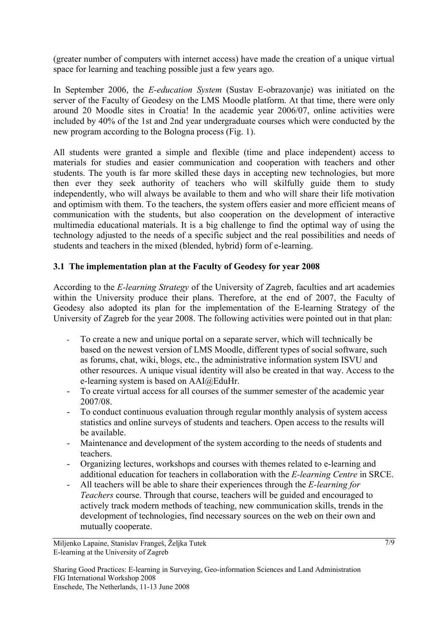(greater number of computers with internet access) have made the creation of a unique virtual space for learning and teaching possible just a few years ago.

In September 2006, the *E-education System* (Sustav E-obrazovanje) was initiated on the server of the Faculty of Geodesy on the LMS Moodle platform. At that time, there were only around 20 Moodle sites in Croatia! In the academic year 2006/07, online activities were included by 40% of the 1st and 2nd year undergraduate courses which were conducted by the new program according to the Bologna process (Fig. 1).

All students were granted a simple and flexible (time and place independent) access to materials for studies and easier communication and cooperation with teachers and other students. The youth is far more skilled these days in accepting new technologies, but more then ever they seek authority of teachers who will skilfully guide them to study independently, who will always be available to them and who will share their life motivation and optimism with them. To the teachers, the system offers easier and more efficient means of communication with the students, but also cooperation on the development of interactive multimedia educational materials. It is a big challenge to find the optimal way of using the technology adjusted to the needs of a specific subject and the real possibilities and needs of students and teachers in the mixed (blended, hybrid) form of e-learning.

### **3.1 The implementation plan at the Faculty of Geodesy for year 2008**

According to the *E-learning Strategy* of the University of Zagreb, faculties and art academies within the University produce their plans. Therefore, at the end of 2007, the Faculty of Geodesy also adopted its plan for the implementation of the E-learning Strategy of the University of Zagreb for the year 2008. The following activities were pointed out in that plan:

- To create a new and unique portal on a separate server, which will technically be based on the newest version of LMS Moodle, different types of social software, such as forums, chat, wiki, blogs, etc., the administrative information system ISVU and other resources. A unique visual identity will also be created in that way. Access to the e-learning system is based on AAI@EduHr.
- To create virtual access for all courses of the summer semester of the academic year 2007/08.
- To conduct continuous evaluation through regular monthly analysis of system access statistics and online surveys of students and teachers. Open access to the results will be available.
- Maintenance and development of the system according to the needs of students and teachers.
- Organizing lectures, workshops and courses with themes related to e-learning and additional education for teachers in collaboration with the *E-learning Centre* in SRCE.
- All teachers will be able to share their experiences through the *E-learning for Teachers* course. Through that course, teachers will be guided and encouraged to actively track modern methods of teaching, new communication skills, trends in the development of technologies, find necessary sources on the web on their own and mutually cooperate.

Sharing Good Practices: E-learning in Surveying, Geo-information Sciences and Land Administration FIG International Workshop 2008 Enschede, The Netherlands, 11-13 June 2008

Miljenko Lapaine, Stanislav Frangeš, Željka Tutek E-learning at the University of Zagreb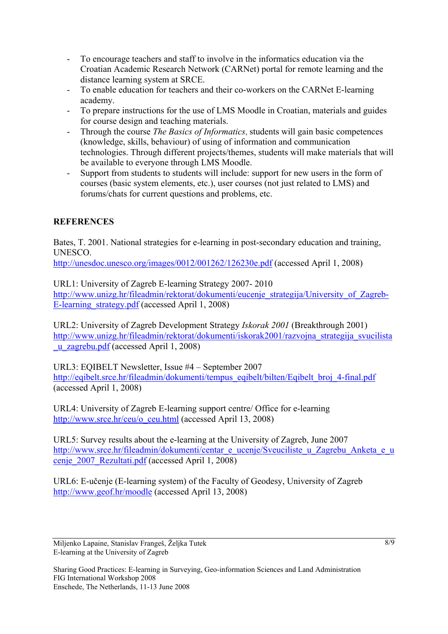- To encourage teachers and staff to involve in the informatics education via the Croatian Academic Research Network (CARNet) portal for remote learning and the distance learning system at SRCE.
- To enable education for teachers and their co-workers on the CARNet E-learning academy.
- To prepare instructions for the use of LMS Moodle in Croatian, materials and guides for course design and teaching materials.
- Through the course *The Basics of Informatics*, students will gain basic competences (knowledge, skills, behaviour) of using of information and communication technologies. Through different projects/themes, students will make materials that will be available to everyone through LMS Moodle.
- Support from students to students will include: support for new users in the form of courses (basic system elements, etc.), user courses (not just related to LMS) and forums/chats for current questions and problems, etc.

# **REFERENCES**

Bates, T. 2001. National strategies for e-learning in post-secondary education and training, UNESCO.

<http://unesdoc.unesco.org/images/0012/001262/126230e.pdf>(accessed April 1, 2008)

URL1: [University of Zagreb E-learning Strategy 2007- 2010](http://www.unizg.hr/fileadmin/rektorat/dokumenti/eucenje_strategija/University_of_Zagreb-E-learning_strategy.pdf)  http://www.unizg.hr/fileadmin/rektorat/dokumenti/eucenie\_strategija/University\_of\_Zagreb-[E-learning\\_strategy.pdf](http://www.unizg.hr/fileadmin/rektorat/dokumenti/eucenje_strategija/University_of_Zagreb-E-learning_strategy.pdf) (accessed April 1, 2008)

URL2: University of Zagreb Development Strategy *Iskorak 2001* (Breakthrough 2001) [http://www.unizg.hr/fileadmin/rektorat/dokumenti/iskorak2001/razvojna\\_strategija\\_svucilista](http://www.unizg.hr/fileadmin/rektorat/dokumenti/iskorak2001/razvojna_strategija_svucilista_u_zagrebu.pdf) [\\_u\\_zagrebu.pdf](http://www.unizg.hr/fileadmin/rektorat/dokumenti/iskorak2001/razvojna_strategija_svucilista_u_zagrebu.pdf) (accessed April 1, 2008)

URL3: EQIBELT Newsletter, Issue #4 – September 2007 [http://eqibelt.srce.hr/fileadmin/dokumenti/tempus\\_eqibelt/bilten/Eqibelt\\_broj\\_4-final.pdf](http://eqibelt.srce.hr/fileadmin/dokumenti/tempus_eqibelt/bilten/Eqibelt_broj_4-final.pdf) (accessed April 1, 2008)

URL4: University of Zagreb E-learning support centre/ Office for e-learning [http://www.srce.hr/ceu/o\\_ceu.html](http://www.srce.hr/ceu/o_ceu.html) (accessed April 13, 2008)

URL5: Survey results about the e-learning at the University of Zagreb, June 2007 [http://www.srce.hr/fileadmin/dokumenti/centar\\_e\\_ucenje/Sveuciliste\\_u\\_Zagrebu\\_Anketa\\_e\\_u](http://www.srce.hr/fileadmin/dokumenti/centar_e_ucenje/Sveuciliste_u_Zagrebu_Anketa_e_ucenje_2007_Rezultati.pdf) cenje 2007 Rezultati.pdf (accessed April 1, 2008)

URL6: E-učenje (E-learning system) of the Faculty of Geodesy, University of Zagreb <http://www.geof.hr/moodle> (accessed April 13, 2008)

Miljenko Lapaine, Stanislav Frangeš, Željka Tutek E-learning at the University of Zagreb